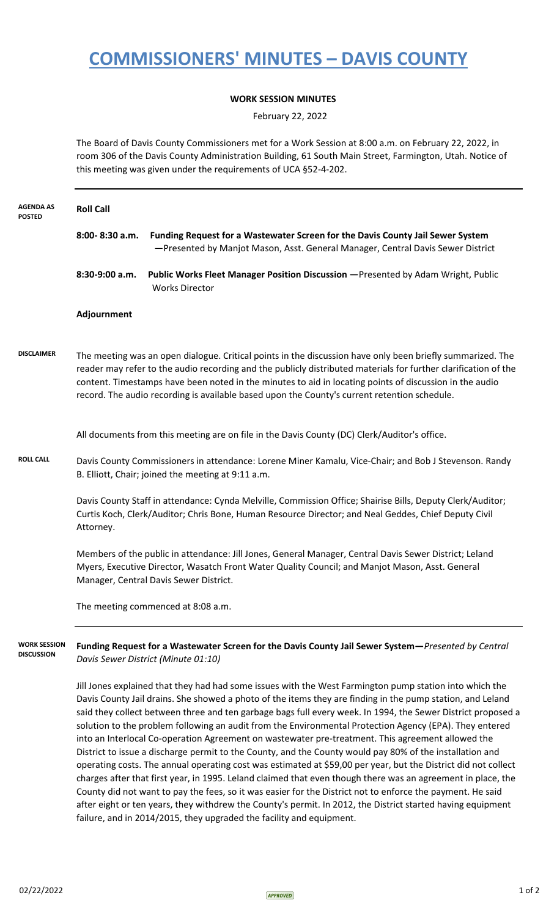## **COMMISSIONERS' MINUTES – DAVIS COUNTY**

## **WORK SESSION MINUTES**

February 22, 2022

The Board of Davis County Commissioners met for a Work Session at 8:00 a.m. on February 22, 2022, in room 306 of the Davis County Administration Building, 61 South Main Street, Farmington, Utah. Notice of this meeting was given under the requirements of UCA §52-4-202.

| <b>AGENDA AS</b><br><b>POSTED</b>        | <b>Roll Call</b>                                                                                                                                                                                                                                                                                                                                                                                                                         |                                                                                                                                                                                                                                                                                                                                                                                                                                                                                                                                                                                                                                                                                                                                                                                                                                                                                                                                                                                                                                                                                                                                  |
|------------------------------------------|------------------------------------------------------------------------------------------------------------------------------------------------------------------------------------------------------------------------------------------------------------------------------------------------------------------------------------------------------------------------------------------------------------------------------------------|----------------------------------------------------------------------------------------------------------------------------------------------------------------------------------------------------------------------------------------------------------------------------------------------------------------------------------------------------------------------------------------------------------------------------------------------------------------------------------------------------------------------------------------------------------------------------------------------------------------------------------------------------------------------------------------------------------------------------------------------------------------------------------------------------------------------------------------------------------------------------------------------------------------------------------------------------------------------------------------------------------------------------------------------------------------------------------------------------------------------------------|
|                                          | $8:00 - 8:30$ a.m.                                                                                                                                                                                                                                                                                                                                                                                                                       | Funding Request for a Wastewater Screen for the Davis County Jail Sewer System<br>-Presented by Manjot Mason, Asst. General Manager, Central Davis Sewer District                                                                                                                                                                                                                                                                                                                                                                                                                                                                                                                                                                                                                                                                                                                                                                                                                                                                                                                                                                |
|                                          | $8:30-9:00$ a.m.                                                                                                                                                                                                                                                                                                                                                                                                                         | Public Works Fleet Manager Position Discussion - Presented by Adam Wright, Public<br><b>Works Director</b>                                                                                                                                                                                                                                                                                                                                                                                                                                                                                                                                                                                                                                                                                                                                                                                                                                                                                                                                                                                                                       |
|                                          | Adjournment                                                                                                                                                                                                                                                                                                                                                                                                                              |                                                                                                                                                                                                                                                                                                                                                                                                                                                                                                                                                                                                                                                                                                                                                                                                                                                                                                                                                                                                                                                                                                                                  |
| <b>DISCLAIMER</b>                        | The meeting was an open dialogue. Critical points in the discussion have only been briefly summarized. The<br>reader may refer to the audio recording and the publicly distributed materials for further clarification of the<br>content. Timestamps have been noted in the minutes to aid in locating points of discussion in the audio<br>record. The audio recording is available based upon the County's current retention schedule. |                                                                                                                                                                                                                                                                                                                                                                                                                                                                                                                                                                                                                                                                                                                                                                                                                                                                                                                                                                                                                                                                                                                                  |
|                                          |                                                                                                                                                                                                                                                                                                                                                                                                                                          | All documents from this meeting are on file in the Davis County (DC) Clerk/Auditor's office.                                                                                                                                                                                                                                                                                                                                                                                                                                                                                                                                                                                                                                                                                                                                                                                                                                                                                                                                                                                                                                     |
| <b>ROLL CALL</b>                         | Davis County Commissioners in attendance: Lorene Miner Kamalu, Vice-Chair; and Bob J Stevenson. Randy<br>B. Elliott, Chair; joined the meeting at 9:11 a.m.                                                                                                                                                                                                                                                                              |                                                                                                                                                                                                                                                                                                                                                                                                                                                                                                                                                                                                                                                                                                                                                                                                                                                                                                                                                                                                                                                                                                                                  |
|                                          | Davis County Staff in attendance: Cynda Melville, Commission Office; Shairise Bills, Deputy Clerk/Auditor;<br>Curtis Koch, Clerk/Auditor; Chris Bone, Human Resource Director; and Neal Geddes, Chief Deputy Civil<br>Attorney.                                                                                                                                                                                                          |                                                                                                                                                                                                                                                                                                                                                                                                                                                                                                                                                                                                                                                                                                                                                                                                                                                                                                                                                                                                                                                                                                                                  |
|                                          | Members of the public in attendance: Jill Jones, General Manager, Central Davis Sewer District; Leland<br>Myers, Executive Director, Wasatch Front Water Quality Council; and Manjot Mason, Asst. General<br>Manager, Central Davis Sewer District.                                                                                                                                                                                      |                                                                                                                                                                                                                                                                                                                                                                                                                                                                                                                                                                                                                                                                                                                                                                                                                                                                                                                                                                                                                                                                                                                                  |
|                                          |                                                                                                                                                                                                                                                                                                                                                                                                                                          | The meeting commenced at 8:08 a.m.                                                                                                                                                                                                                                                                                                                                                                                                                                                                                                                                                                                                                                                                                                                                                                                                                                                                                                                                                                                                                                                                                               |
| <b>WORK SESSION</b><br><b>DISCUSSION</b> | Funding Request for a Wastewater Screen for the Davis County Jail Sewer System-Presented by Central<br>Davis Sewer District (Minute 01:10)                                                                                                                                                                                                                                                                                               |                                                                                                                                                                                                                                                                                                                                                                                                                                                                                                                                                                                                                                                                                                                                                                                                                                                                                                                                                                                                                                                                                                                                  |
|                                          |                                                                                                                                                                                                                                                                                                                                                                                                                                          | Jill Jones explained that they had had some issues with the West Farmington pump station into which the<br>Davis County Jail drains. She showed a photo of the items they are finding in the pump station, and Leland<br>said they collect between three and ten garbage bags full every week. In 1994, the Sewer District proposed a<br>solution to the problem following an audit from the Environmental Protection Agency (EPA). They entered<br>into an Interlocal Co-operation Agreement on wastewater pre-treatment. This agreement allowed the<br>District to issue a discharge permit to the County, and the County would pay 80% of the installation and<br>operating costs. The annual operating cost was estimated at \$59,00 per year, but the District did not collect<br>charges after that first year, in 1995. Leland claimed that even though there was an agreement in place, the<br>County did not want to pay the fees, so it was easier for the District not to enforce the payment. He said<br>after eight or ten years, they withdrew the County's permit. In 2012, the District started having equipment |

failure, and in 2014/2015, they upgraded the facility and equipment.